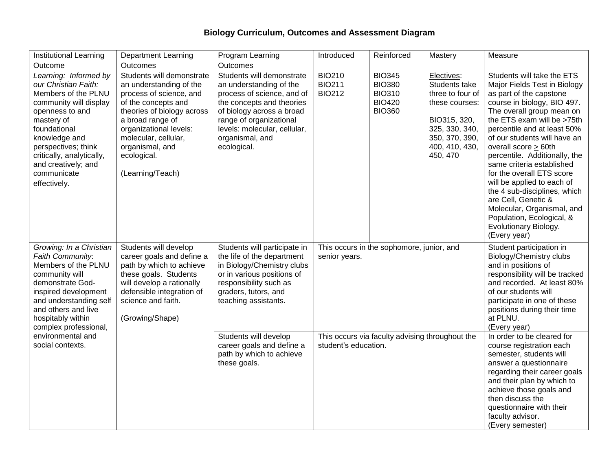## **Biology Curriculum, Outcomes and Assessment Diagram**

| <b>Institutional Learning</b>                                                                                                                                                                                                                                              | <b>Department Learning</b>                                                                                                                                                                                                                                       | Program Learning                                                                                                                                                                                                                          | Introduced                                                              | Reinforced                                                                        | Mastery                                                                                                                                                                                                                                                      | Measure                                                                                                                                                                                                                                                                                                                                                                                                                                                                                                                                                    |
|----------------------------------------------------------------------------------------------------------------------------------------------------------------------------------------------------------------------------------------------------------------------------|------------------------------------------------------------------------------------------------------------------------------------------------------------------------------------------------------------------------------------------------------------------|-------------------------------------------------------------------------------------------------------------------------------------------------------------------------------------------------------------------------------------------|-------------------------------------------------------------------------|-----------------------------------------------------------------------------------|--------------------------------------------------------------------------------------------------------------------------------------------------------------------------------------------------------------------------------------------------------------|------------------------------------------------------------------------------------------------------------------------------------------------------------------------------------------------------------------------------------------------------------------------------------------------------------------------------------------------------------------------------------------------------------------------------------------------------------------------------------------------------------------------------------------------------------|
| Outcome                                                                                                                                                                                                                                                                    | Outcomes                                                                                                                                                                                                                                                         | <b>Outcomes</b>                                                                                                                                                                                                                           |                                                                         |                                                                                   |                                                                                                                                                                                                                                                              |                                                                                                                                                                                                                                                                                                                                                                                                                                                                                                                                                            |
| Learning: Informed by<br>our Christian Faith:<br>Members of the PLNU<br>community will display<br>openness to and<br>mastery of<br>foundational<br>knowledge and<br>perspectives; think<br>critically, analytically,<br>and creatively; and<br>communicate<br>effectively. | Students will demonstrate<br>an understanding of the<br>process of science, and<br>of the concepts and<br>theories of biology across<br>a broad range of<br>organizational levels:<br>molecular, cellular,<br>organismal, and<br>ecological.<br>(Learning/Teach) | Students will demonstrate<br>an understanding of the<br>process of science, and of<br>the concepts and theories<br>of biology across a broad<br>range of organizational<br>levels: molecular, cellular,<br>organismal, and<br>ecological. | <b>BIO210</b><br><b>BIO211</b><br><b>BIO212</b>                         | <b>BIO345</b><br><b>BIO380</b><br><b>BIO310</b><br><b>BIO420</b><br><b>BIO360</b> | Electives:<br>Students take<br>three to four of<br>these courses:<br>BIO315, 320,<br>325, 330, 340,<br>350, 370, 390,<br>400, 410, 430,<br>450, 470                                                                                                          | Students will take the ETS<br>Major Fields Test in Biology<br>as part of the capstone<br>course in biology, BIO 497.<br>The overall group mean on<br>the ETS exam will be >75th<br>percentile and at least 50%<br>of our students will have an<br>overall score > 60th<br>percentile. Additionally, the<br>same criteria established<br>for the overall ETS score<br>will be applied to each of<br>the 4 sub-disciplines, which<br>are Cell, Genetic &<br>Molecular, Organismal, and<br>Population, Ecological, &<br>Evolutionary Biology.<br>(Every year) |
| Growing: In a Christian<br>Faith Community:<br>Members of the PLNU<br>community will<br>demonstrate God-<br>inspired development<br>and understanding self<br>and others and live<br>hospitably within<br>complex professional,                                            | Students will develop<br>career goals and define a<br>path by which to achieve<br>these goals. Students<br>will develop a rationally<br>defensible integration of<br>science and faith.<br>(Growing/Shape)                                                       | Students will participate in<br>the life of the department<br>in Biology/Chemistry clubs<br>or in various positions of<br>responsibility such as<br>graders, tutors, and<br>teaching assistants.                                          | senior years.                                                           | This occurs in the sophomore, junior, and                                         | Student participation in<br>Biology/Chemistry clubs<br>and in positions of<br>responsibility will be tracked<br>and recorded. At least 80%<br>of our students will<br>participate in one of these<br>positions during their time<br>at PLNU.<br>(Every year) |                                                                                                                                                                                                                                                                                                                                                                                                                                                                                                                                                            |
| environmental and<br>social contexts.                                                                                                                                                                                                                                      |                                                                                                                                                                                                                                                                  | Students will develop<br>career goals and define a<br>path by which to achieve<br>these goals.                                                                                                                                            | This occurs via faculty advising throughout the<br>student's education. |                                                                                   |                                                                                                                                                                                                                                                              | In order to be cleared for<br>course registration each<br>semester, students will<br>answer a questionnaire<br>regarding their career goals<br>and their plan by which to<br>achieve those goals and<br>then discuss the<br>questionnaire with their<br>faculty advisor.<br>(Every semester)                                                                                                                                                                                                                                                               |